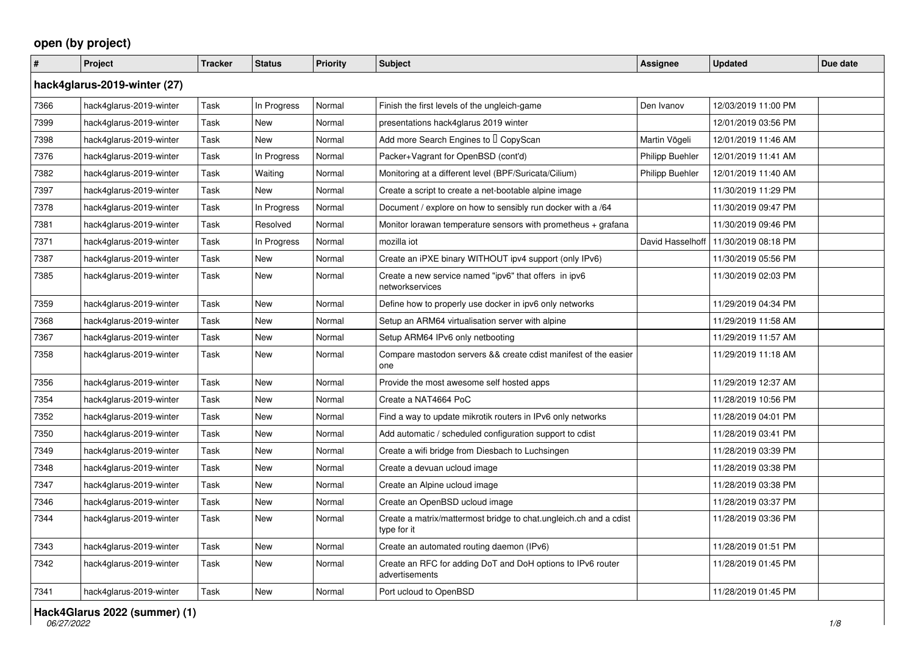## **open (by project)**

| $\vert$ #                    | Project                 | <b>Tracker</b> | <b>Status</b> | <b>Priority</b> | <b>Subject</b>                                                                   | Assignee               | <b>Updated</b>      | Due date |  |  |
|------------------------------|-------------------------|----------------|---------------|-----------------|----------------------------------------------------------------------------------|------------------------|---------------------|----------|--|--|
| hack4glarus-2019-winter (27) |                         |                |               |                 |                                                                                  |                        |                     |          |  |  |
| 7366                         | hack4glarus-2019-winter | Task           | In Progress   | Normal          | Finish the first levels of the ungleich-game                                     | Den Ivanov             | 12/03/2019 11:00 PM |          |  |  |
| 7399                         | hack4glarus-2019-winter | Task           | <b>New</b>    | Normal          | presentations hack4glarus 2019 winter                                            |                        | 12/01/2019 03:56 PM |          |  |  |
| 7398                         | hack4glarus-2019-winter | Task           | <b>New</b>    | Normal          | Add more Search Engines to I CopyScan                                            | Martin Vögeli          | 12/01/2019 11:46 AM |          |  |  |
| 7376                         | hack4glarus-2019-winter | Task           | In Progress   | Normal          | Packer+Vagrant for OpenBSD (cont'd)                                              | <b>Philipp Buehler</b> | 12/01/2019 11:41 AM |          |  |  |
| 7382                         | hack4glarus-2019-winter | Task           | Waiting       | Normal          | Monitoring at a different level (BPF/Suricata/Cilium)                            | Philipp Buehler        | 12/01/2019 11:40 AM |          |  |  |
| 7397                         | hack4glarus-2019-winter | Task           | New           | Normal          | Create a script to create a net-bootable alpine image                            |                        | 11/30/2019 11:29 PM |          |  |  |
| 7378                         | hack4glarus-2019-winter | Task           | In Progress   | Normal          | Document / explore on how to sensibly run docker with a /64                      |                        | 11/30/2019 09:47 PM |          |  |  |
| 7381                         | hack4glarus-2019-winter | Task           | Resolved      | Normal          | Monitor lorawan temperature sensors with prometheus + grafana                    |                        | 11/30/2019 09:46 PM |          |  |  |
| 7371                         | hack4glarus-2019-winter | Task           | In Progress   | Normal          | mozilla iot                                                                      | David Hasselhoff       | 11/30/2019 08:18 PM |          |  |  |
| 7387                         | hack4glarus-2019-winter | Task           | New           | Normal          | Create an iPXE binary WITHOUT ipv4 support (only IPv6)                           |                        | 11/30/2019 05:56 PM |          |  |  |
| 7385                         | hack4glarus-2019-winter | Task           | New           | Normal          | Create a new service named "ipv6" that offers in ipv6<br>networkservices         |                        | 11/30/2019 02:03 PM |          |  |  |
| 7359                         | hack4glarus-2019-winter | Task           | <b>New</b>    | Normal          | Define how to properly use docker in ipv6 only networks                          |                        | 11/29/2019 04:34 PM |          |  |  |
| 7368                         | hack4glarus-2019-winter | Task           | <b>New</b>    | Normal          | Setup an ARM64 virtualisation server with alpine                                 |                        | 11/29/2019 11:58 AM |          |  |  |
| 7367                         | hack4glarus-2019-winter | Task           | <b>New</b>    | Normal          | Setup ARM64 IPv6 only netbooting                                                 |                        | 11/29/2019 11:57 AM |          |  |  |
| 7358                         | hack4glarus-2019-winter | Task           | New           | Normal          | Compare mastodon servers && create cdist manifest of the easier<br>one           |                        | 11/29/2019 11:18 AM |          |  |  |
| 7356                         | hack4glarus-2019-winter | Task           | New           | Normal          | Provide the most awesome self hosted apps                                        |                        | 11/29/2019 12:37 AM |          |  |  |
| 7354                         | hack4glarus-2019-winter | Task           | <b>New</b>    | Normal          | Create a NAT4664 PoC                                                             |                        | 11/28/2019 10:56 PM |          |  |  |
| 7352                         | hack4glarus-2019-winter | Task           | New           | Normal          | Find a way to update mikrotik routers in IPv6 only networks                      |                        | 11/28/2019 04:01 PM |          |  |  |
| 7350                         | hack4glarus-2019-winter | Task           | New           | Normal          | Add automatic / scheduled configuration support to cdist                         |                        | 11/28/2019 03:41 PM |          |  |  |
| 7349                         | hack4glarus-2019-winter | Task           | New           | Normal          | Create a wifi bridge from Diesbach to Luchsingen                                 |                        | 11/28/2019 03:39 PM |          |  |  |
| 7348                         | hack4glarus-2019-winter | Task           | <b>New</b>    | Normal          | Create a devuan ucloud image                                                     |                        | 11/28/2019 03:38 PM |          |  |  |
| 7347                         | hack4glarus-2019-winter | Task           | New           | Normal          | Create an Alpine ucloud image                                                    |                        | 11/28/2019 03:38 PM |          |  |  |
| 7346                         | hack4glarus-2019-winter | Task           | New           | Normal          | Create an OpenBSD ucloud image                                                   |                        | 11/28/2019 03:37 PM |          |  |  |
| 7344                         | hack4glarus-2019-winter | Task           | New           | Normal          | Create a matrix/mattermost bridge to chat.ungleich.ch and a cdist<br>type for it |                        | 11/28/2019 03:36 PM |          |  |  |
| 7343                         | hack4glarus-2019-winter | Task           | <b>New</b>    | Normal          | Create an automated routing daemon (IPv6)                                        |                        | 11/28/2019 01:51 PM |          |  |  |
| 7342                         | hack4glarus-2019-winter | Task           | New           | Normal          | Create an RFC for adding DoT and DoH options to IPv6 router<br>advertisements    |                        | 11/28/2019 01:45 PM |          |  |  |
| 7341                         | hack4glarus-2019-winter | Task           | New           | Normal          | Port ucloud to OpenBSD                                                           |                        | 11/28/2019 01:45 PM |          |  |  |

**Hack4Glarus 2022 (summer) (1)**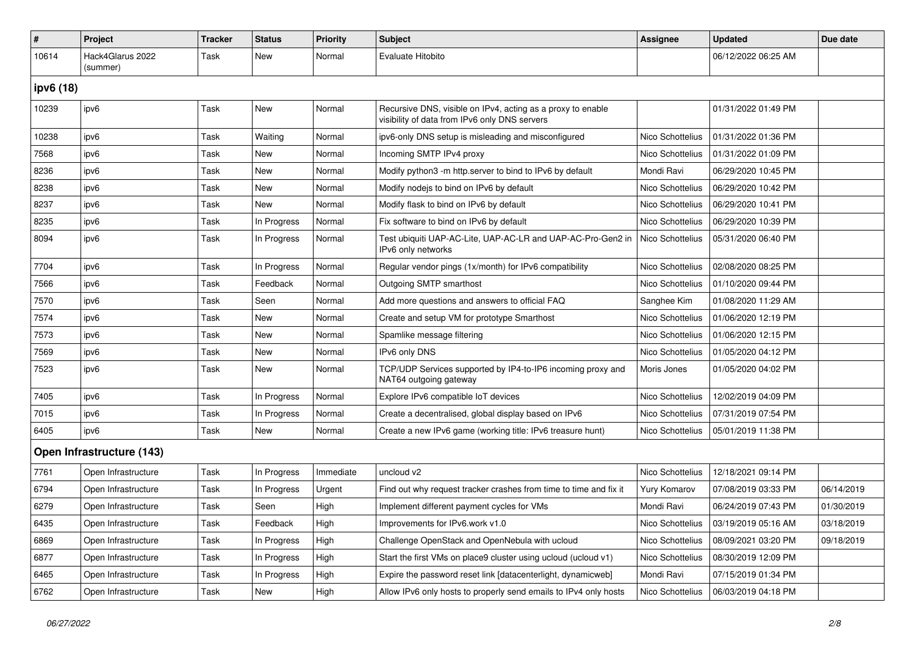| #         | Project                      | <b>Tracker</b> | <b>Status</b> | <b>Priority</b> | <b>Subject</b>                                                                                               | Assignee         | <b>Updated</b>      | Due date   |  |  |  |
|-----------|------------------------------|----------------|---------------|-----------------|--------------------------------------------------------------------------------------------------------------|------------------|---------------------|------------|--|--|--|
| 10614     | Hack4Glarus 2022<br>(summer) | Task           | New           | Normal          | Evaluate Hitobito                                                                                            |                  | 06/12/2022 06:25 AM |            |  |  |  |
| ipv6 (18) |                              |                |               |                 |                                                                                                              |                  |                     |            |  |  |  |
| 10239     | ipv6                         | Task           | New           | Normal          | Recursive DNS, visible on IPv4, acting as a proxy to enable<br>visibility of data from IPv6 only DNS servers |                  | 01/31/2022 01:49 PM |            |  |  |  |
| 10238     | ipv6                         | Task           | Waiting       | Normal          | ipv6-only DNS setup is misleading and misconfigured                                                          | Nico Schottelius | 01/31/2022 01:36 PM |            |  |  |  |
| 7568      | ipv6                         | Task           | New           | Normal          | Incoming SMTP IPv4 proxy                                                                                     | Nico Schottelius | 01/31/2022 01:09 PM |            |  |  |  |
| 8236      | ipv6                         | Task           | New           | Normal          | Modify python3 -m http.server to bind to IPv6 by default                                                     | Mondi Ravi       | 06/29/2020 10:45 PM |            |  |  |  |
| 8238      | ipv6                         | Task           | New           | Normal          | Modify nodejs to bind on IPv6 by default                                                                     | Nico Schottelius | 06/29/2020 10:42 PM |            |  |  |  |
| 8237      | ipv6                         | Task           | New           | Normal          | Modify flask to bind on IPv6 by default                                                                      | Nico Schottelius | 06/29/2020 10:41 PM |            |  |  |  |
| 8235      | ipv6                         | Task           | In Progress   | Normal          | Fix software to bind on IPv6 by default                                                                      | Nico Schottelius | 06/29/2020 10:39 PM |            |  |  |  |
| 8094      | ipv6                         | Task           | In Progress   | Normal          | Test ubiquiti UAP-AC-Lite, UAP-AC-LR and UAP-AC-Pro-Gen2 in<br>IPv6 only networks                            | Nico Schottelius | 05/31/2020 06:40 PM |            |  |  |  |
| 7704      | ipv6                         | Task           | In Progress   | Normal          | Regular vendor pings (1x/month) for IPv6 compatibility                                                       | Nico Schottelius | 02/08/2020 08:25 PM |            |  |  |  |
| 7566      | ipv6                         | Task           | Feedback      | Normal          | Outgoing SMTP smarthost                                                                                      | Nico Schottelius | 01/10/2020 09:44 PM |            |  |  |  |
| 7570      | ipv6                         | Task           | Seen          | Normal          | Add more questions and answers to official FAQ                                                               | Sanghee Kim      | 01/08/2020 11:29 AM |            |  |  |  |
| 7574      | ipv6                         | Task           | New           | Normal          | Create and setup VM for prototype Smarthost                                                                  | Nico Schottelius | 01/06/2020 12:19 PM |            |  |  |  |
| 7573      | ipv6                         | Task           | New           | Normal          | Spamlike message filtering                                                                                   | Nico Schottelius | 01/06/2020 12:15 PM |            |  |  |  |
| 7569      | ipv6                         | Task           | New           | Normal          | IPv6 only DNS                                                                                                | Nico Schottelius | 01/05/2020 04:12 PM |            |  |  |  |
| 7523      | ipv6                         | Task           | New           | Normal          | TCP/UDP Services supported by IP4-to-IP6 incoming proxy and<br>NAT64 outgoing gateway                        | Moris Jones      | 01/05/2020 04:02 PM |            |  |  |  |
| 7405      | ipv6                         | Task           | In Progress   | Normal          | Explore IPv6 compatible IoT devices                                                                          | Nico Schottelius | 12/02/2019 04:09 PM |            |  |  |  |
| 7015      | ipv6                         | Task           | In Progress   | Normal          | Create a decentralised, global display based on IPv6                                                         | Nico Schottelius | 07/31/2019 07:54 PM |            |  |  |  |
| 6405      | ipv6                         | Task           | <b>New</b>    | Normal          | Create a new IPv6 game (working title: IPv6 treasure hunt)                                                   | Nico Schottelius | 05/01/2019 11:38 PM |            |  |  |  |
|           | Open Infrastructure (143)    |                |               |                 |                                                                                                              |                  |                     |            |  |  |  |
| 7761      | Open Infrastructure          | Task           | In Progress   | Immediate       | uncloud v2                                                                                                   | Nico Schottelius | 12/18/2021 09:14 PM |            |  |  |  |
| 6794      | Open Infrastructure          | Task           | In Progress   | Urgent          | Find out why request tracker crashes from time to time and fix it                                            | Yury Komarov     | 07/08/2019 03:33 PM | 06/14/2019 |  |  |  |
| 6279      | Open Infrastructure          | Task           | Seen          | High            | Implement different payment cycles for VMs                                                                   | Mondi Ravi       | 06/24/2019 07:43 PM | 01/30/2019 |  |  |  |
| 6435      | Open Infrastructure          | Task           | Feedback      | High            | Improvements for IPv6.work v1.0                                                                              | Nico Schottelius | 03/19/2019 05:16 AM | 03/18/2019 |  |  |  |
| 6869      | Open Infrastructure          | Task           | In Progress   | High            | Challenge OpenStack and OpenNebula with ucloud                                                               | Nico Schottelius | 08/09/2021 03:20 PM | 09/18/2019 |  |  |  |
| 6877      | Open Infrastructure          | Task           | In Progress   | High            | Start the first VMs on place9 cluster using ucloud (ucloud v1)                                               | Nico Schottelius | 08/30/2019 12:09 PM |            |  |  |  |
| 6465      | Open Infrastructure          | Task           | In Progress   | High            | Expire the password reset link [datacenterlight, dynamicweb]                                                 | Mondi Ravi       | 07/15/2019 01:34 PM |            |  |  |  |
| 6762      | Open Infrastructure          | Task           | New           | High            | Allow IPv6 only hosts to properly send emails to IPv4 only hosts                                             | Nico Schottelius | 06/03/2019 04:18 PM |            |  |  |  |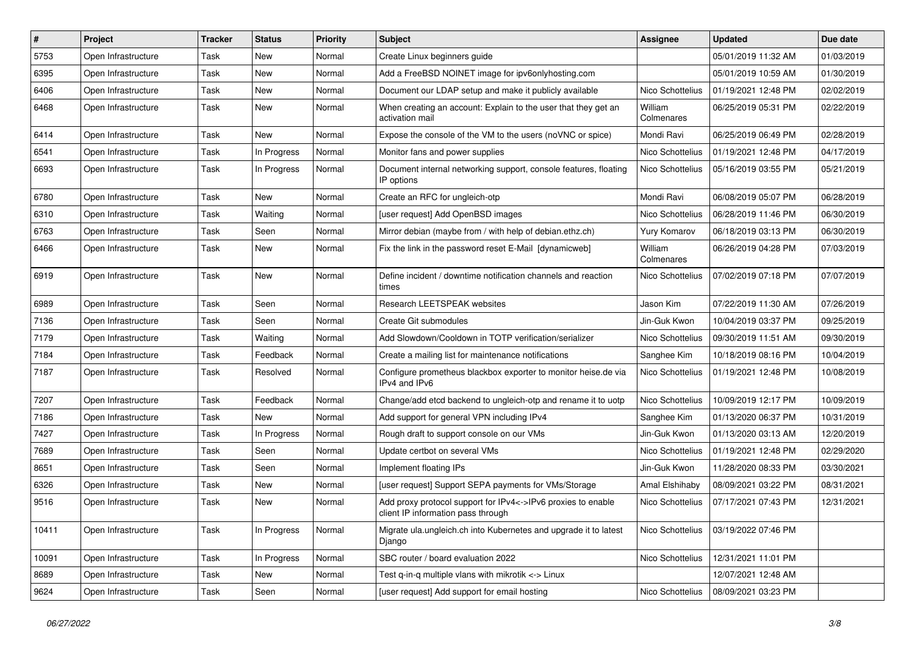| $\sharp$ | Project             | <b>Tracker</b> | <b>Status</b> | <b>Priority</b> | <b>Subject</b>                                                                                     | <b>Assignee</b>       | <b>Updated</b>      | Due date   |
|----------|---------------------|----------------|---------------|-----------------|----------------------------------------------------------------------------------------------------|-----------------------|---------------------|------------|
| 5753     | Open Infrastructure | Task           | <b>New</b>    | Normal          | Create Linux beginners guide                                                                       |                       | 05/01/2019 11:32 AM | 01/03/2019 |
| 6395     | Open Infrastructure | Task           | <b>New</b>    | Normal          | Add a FreeBSD NOINET image for ipv6onlyhosting.com                                                 |                       | 05/01/2019 10:59 AM | 01/30/2019 |
| 6406     | Open Infrastructure | Task           | New           | Normal          | Document our LDAP setup and make it publicly available                                             | Nico Schottelius      | 01/19/2021 12:48 PM | 02/02/2019 |
| 6468     | Open Infrastructure | Task           | New           | Normal          | When creating an account: Explain to the user that they get an<br>activation mail                  | William<br>Colmenares | 06/25/2019 05:31 PM | 02/22/2019 |
| 6414     | Open Infrastructure | Task           | New           | Normal          | Expose the console of the VM to the users (noVNC or spice)                                         | Mondi Ravi            | 06/25/2019 06:49 PM | 02/28/2019 |
| 6541     | Open Infrastructure | Task           | In Progress   | Normal          | Monitor fans and power supplies                                                                    | Nico Schottelius      | 01/19/2021 12:48 PM | 04/17/2019 |
| 6693     | Open Infrastructure | Task           | In Progress   | Normal          | Document internal networking support, console features, floating<br>IP options                     | Nico Schottelius      | 05/16/2019 03:55 PM | 05/21/2019 |
| 6780     | Open Infrastructure | Task           | New           | Normal          | Create an RFC for ungleich-otp                                                                     | Mondi Ravi            | 06/08/2019 05:07 PM | 06/28/2019 |
| 6310     | Open Infrastructure | Task           | Waiting       | Normal          | [user request] Add OpenBSD images                                                                  | Nico Schottelius      | 06/28/2019 11:46 PM | 06/30/2019 |
| 6763     | Open Infrastructure | Task           | Seen          | Normal          | Mirror debian (maybe from / with help of debian.ethz.ch)                                           | <b>Yury Komarov</b>   | 06/18/2019 03:13 PM | 06/30/2019 |
| 6466     | Open Infrastructure | Task           | New           | Normal          | Fix the link in the password reset E-Mail [dynamicweb]                                             | William<br>Colmenares | 06/26/2019 04:28 PM | 07/03/2019 |
| 6919     | Open Infrastructure | Task           | <b>New</b>    | Normal          | Define incident / downtime notification channels and reaction<br>times                             | Nico Schottelius      | 07/02/2019 07:18 PM | 07/07/2019 |
| 6989     | Open Infrastructure | Task           | Seen          | Normal          | Research LEETSPEAK websites                                                                        | Jason Kim             | 07/22/2019 11:30 AM | 07/26/2019 |
| 7136     | Open Infrastructure | Task           | Seen          | Normal          | Create Git submodules                                                                              | Jin-Guk Kwon          | 10/04/2019 03:37 PM | 09/25/2019 |
| 7179     | Open Infrastructure | Task           | Waiting       | Normal          | Add Slowdown/Cooldown in TOTP verification/serializer                                              | Nico Schottelius      | 09/30/2019 11:51 AM | 09/30/2019 |
| 7184     | Open Infrastructure | Task           | Feedback      | Normal          | Create a mailing list for maintenance notifications                                                | Sanghee Kim           | 10/18/2019 08:16 PM | 10/04/2019 |
| 7187     | Open Infrastructure | Task           | Resolved      | Normal          | Configure prometheus blackbox exporter to monitor heise.de via<br>IPv4 and IPv6                    | Nico Schottelius      | 01/19/2021 12:48 PM | 10/08/2019 |
| 7207     | Open Infrastructure | Task           | Feedback      | Normal          | Change/add etcd backend to ungleich-otp and rename it to uotp                                      | Nico Schottelius      | 10/09/2019 12:17 PM | 10/09/2019 |
| 7186     | Open Infrastructure | Task           | New           | Normal          | Add support for general VPN including IPv4                                                         | Sanghee Kim           | 01/13/2020 06:37 PM | 10/31/2019 |
| 7427     | Open Infrastructure | Task           | In Progress   | Normal          | Rough draft to support console on our VMs                                                          | Jin-Guk Kwon          | 01/13/2020 03:13 AM | 12/20/2019 |
| 7689     | Open Infrastructure | Task           | Seen          | Normal          | Update certbot on several VMs                                                                      | Nico Schottelius      | 01/19/2021 12:48 PM | 02/29/2020 |
| 8651     | Open Infrastructure | Task           | Seen          | Normal          | Implement floating IPs                                                                             | Jin-Guk Kwon          | 11/28/2020 08:33 PM | 03/30/2021 |
| 6326     | Open Infrastructure | Task           | <b>New</b>    | Normal          | [user request] Support SEPA payments for VMs/Storage                                               | Amal Elshihaby        | 08/09/2021 03:22 PM | 08/31/2021 |
| 9516     | Open Infrastructure | Task           | New           | Normal          | Add proxy protocol support for IPv4<->IPv6 proxies to enable<br>client IP information pass through | Nico Schottelius      | 07/17/2021 07:43 PM | 12/31/2021 |
| 10411    | Open Infrastructure | Task           | In Progress   | Normal          | Migrate ula.ungleich.ch into Kubernetes and upgrade it to latest<br>Django                         | Nico Schottelius      | 03/19/2022 07:46 PM |            |
| 10091    | Open Infrastructure | Task           | In Progress   | Normal          | SBC router / board evaluation 2022                                                                 | Nico Schottelius      | 12/31/2021 11:01 PM |            |
| 8689     | Open Infrastructure | Task           | New           | Normal          | Test q-in-q multiple vlans with mikrotik <-> Linux                                                 |                       | 12/07/2021 12:48 AM |            |
| 9624     | Open Infrastructure | Task           | Seen          | Normal          | [user request] Add support for email hosting                                                       | Nico Schottelius      | 08/09/2021 03:23 PM |            |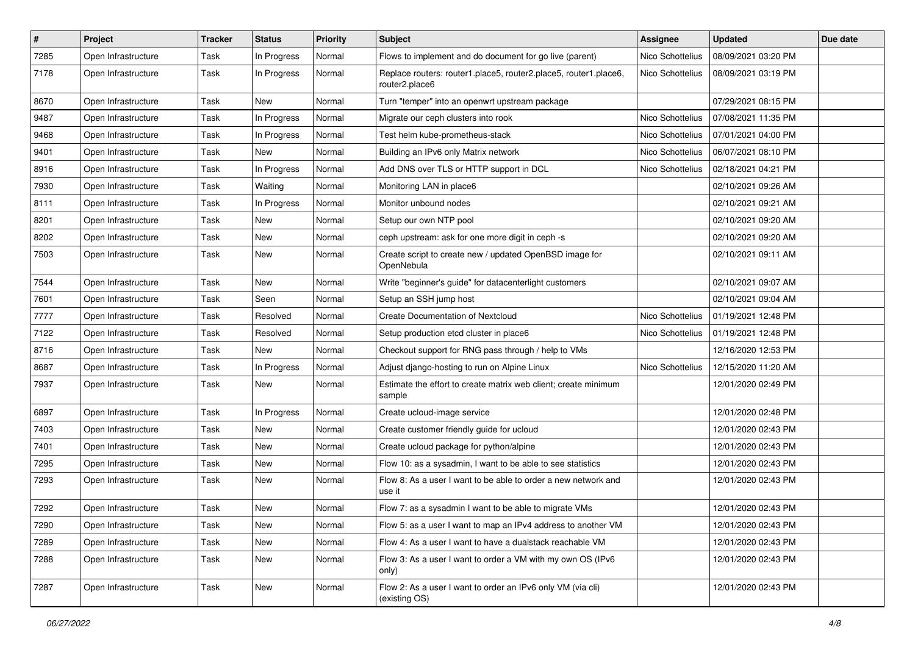| #    | Project             | Tracker | <b>Status</b> | <b>Priority</b> | Subject                                                                            | Assignee         | <b>Updated</b>      | Due date |
|------|---------------------|---------|---------------|-----------------|------------------------------------------------------------------------------------|------------------|---------------------|----------|
| 7285 | Open Infrastructure | Task    | In Progress   | Normal          | Flows to implement and do document for go live (parent)                            | Nico Schottelius | 08/09/2021 03:20 PM |          |
| 7178 | Open Infrastructure | Task    | In Progress   | Normal          | Replace routers: router1.place5, router2.place5, router1.place6,<br>router2.place6 | Nico Schottelius | 08/09/2021 03:19 PM |          |
| 8670 | Open Infrastructure | Task    | New           | Normal          | Turn "temper" into an openwrt upstream package                                     |                  | 07/29/2021 08:15 PM |          |
| 9487 | Open Infrastructure | Task    | In Progress   | Normal          | Migrate our ceph clusters into rook                                                | Nico Schottelius | 07/08/2021 11:35 PM |          |
| 9468 | Open Infrastructure | Task    | In Progress   | Normal          | Test helm kube-prometheus-stack                                                    | Nico Schottelius | 07/01/2021 04:00 PM |          |
| 9401 | Open Infrastructure | Task    | New           | Normal          | Building an IPv6 only Matrix network                                               | Nico Schottelius | 06/07/2021 08:10 PM |          |
| 8916 | Open Infrastructure | Task    | In Progress   | Normal          | Add DNS over TLS or HTTP support in DCL                                            | Nico Schottelius | 02/18/2021 04:21 PM |          |
| 7930 | Open Infrastructure | Task    | Waiting       | Normal          | Monitoring LAN in place6                                                           |                  | 02/10/2021 09:26 AM |          |
| 8111 | Open Infrastructure | Task    | In Progress   | Normal          | Monitor unbound nodes                                                              |                  | 02/10/2021 09:21 AM |          |
| 8201 | Open Infrastructure | Task    | New           | Normal          | Setup our own NTP pool                                                             |                  | 02/10/2021 09:20 AM |          |
| 8202 | Open Infrastructure | Task    | New           | Normal          | ceph upstream: ask for one more digit in ceph -s                                   |                  | 02/10/2021 09:20 AM |          |
| 7503 | Open Infrastructure | Task    | New           | Normal          | Create script to create new / updated OpenBSD image for<br>OpenNebula              |                  | 02/10/2021 09:11 AM |          |
| 7544 | Open Infrastructure | Task    | New           | Normal          | Write "beginner's guide" for datacenterlight customers                             |                  | 02/10/2021 09:07 AM |          |
| 7601 | Open Infrastructure | Task    | Seen          | Normal          | Setup an SSH jump host                                                             |                  | 02/10/2021 09:04 AM |          |
| 7777 | Open Infrastructure | Task    | Resolved      | Normal          | <b>Create Documentation of Nextcloud</b>                                           | Nico Schottelius | 01/19/2021 12:48 PM |          |
| 7122 | Open Infrastructure | Task    | Resolved      | Normal          | Setup production etcd cluster in place6                                            | Nico Schottelius | 01/19/2021 12:48 PM |          |
| 8716 | Open Infrastructure | Task    | New           | Normal          | Checkout support for RNG pass through / help to VMs                                |                  | 12/16/2020 12:53 PM |          |
| 8687 | Open Infrastructure | Task    | In Progress   | Normal          | Adjust django-hosting to run on Alpine Linux                                       | Nico Schottelius | 12/15/2020 11:20 AM |          |
| 7937 | Open Infrastructure | Task    | New           | Normal          | Estimate the effort to create matrix web client; create minimum<br>sample          |                  | 12/01/2020 02:49 PM |          |
| 6897 | Open Infrastructure | Task    | In Progress   | Normal          | Create ucloud-image service                                                        |                  | 12/01/2020 02:48 PM |          |
| 7403 | Open Infrastructure | Task    | New           | Normal          | Create customer friendly guide for ucloud                                          |                  | 12/01/2020 02:43 PM |          |
| 7401 | Open Infrastructure | Task    | New           | Normal          | Create ucloud package for python/alpine                                            |                  | 12/01/2020 02:43 PM |          |
| 7295 | Open Infrastructure | Task    | New           | Normal          | Flow 10: as a sysadmin, I want to be able to see statistics                        |                  | 12/01/2020 02:43 PM |          |
| 7293 | Open Infrastructure | Task    | New           | Normal          | Flow 8: As a user I want to be able to order a new network and<br>use it           |                  | 12/01/2020 02:43 PM |          |
| 7292 | Open Infrastructure | Task    | New           | Normal          | Flow 7: as a sysadmin I want to be able to migrate VMs                             |                  | 12/01/2020 02:43 PM |          |
| 7290 | Open Infrastructure | Task    | New           | Normal          | Flow 5: as a user I want to map an IPv4 address to another VM                      |                  | 12/01/2020 02:43 PM |          |
| 7289 | Open Infrastructure | Task    | New           | Normal          | Flow 4: As a user I want to have a dualstack reachable VM                          |                  | 12/01/2020 02:43 PM |          |
| 7288 | Open Infrastructure | Task    | New           | Normal          | Flow 3: As a user I want to order a VM with my own OS (IPv6<br>only)               |                  | 12/01/2020 02:43 PM |          |
| 7287 | Open Infrastructure | Task    | New           | Normal          | Flow 2: As a user I want to order an IPv6 only VM (via cli)<br>(existing OS)       |                  | 12/01/2020 02:43 PM |          |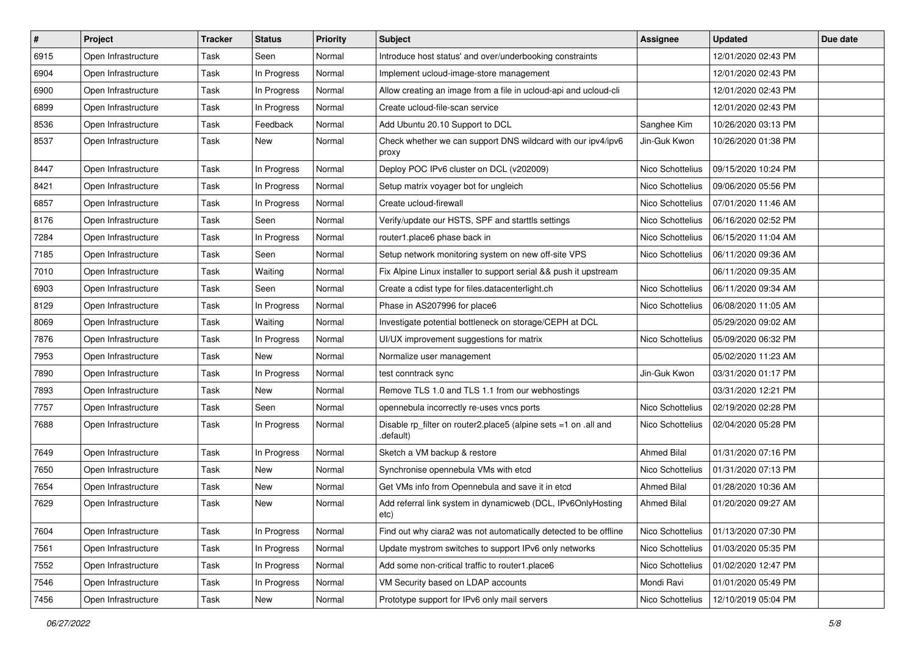| #    | Project             | Tracker | <b>Status</b> | <b>Priority</b> | Subject                                                                      | Assignee           | <b>Updated</b>      | Due date |
|------|---------------------|---------|---------------|-----------------|------------------------------------------------------------------------------|--------------------|---------------------|----------|
| 6915 | Open Infrastructure | Task    | Seen          | Normal          | Introduce host status' and over/underbooking constraints                     |                    | 12/01/2020 02:43 PM |          |
| 6904 | Open Infrastructure | Task    | In Progress   | Normal          | Implement ucloud-image-store management                                      |                    | 12/01/2020 02:43 PM |          |
| 6900 | Open Infrastructure | Task    | In Progress   | Normal          | Allow creating an image from a file in ucloud-api and ucloud-cli             |                    | 12/01/2020 02:43 PM |          |
| 6899 | Open Infrastructure | Task    | In Progress   | Normal          | Create ucloud-file-scan service                                              |                    | 12/01/2020 02:43 PM |          |
| 8536 | Open Infrastructure | Task    | Feedback      | Normal          | Add Ubuntu 20.10 Support to DCL                                              | Sanghee Kim        | 10/26/2020 03:13 PM |          |
| 8537 | Open Infrastructure | Task    | New           | Normal          | Check whether we can support DNS wildcard with our ipv4/ipv6<br>proxy        | Jin-Guk Kwon       | 10/26/2020 01:38 PM |          |
| 8447 | Open Infrastructure | Task    | In Progress   | Normal          | Deploy POC IPv6 cluster on DCL (v202009)                                     | Nico Schottelius   | 09/15/2020 10:24 PM |          |
| 8421 | Open Infrastructure | Task    | In Progress   | Normal          | Setup matrix voyager bot for ungleich                                        | Nico Schottelius   | 09/06/2020 05:56 PM |          |
| 6857 | Open Infrastructure | Task    | In Progress   | Normal          | Create ucloud-firewall                                                       | Nico Schottelius   | 07/01/2020 11:46 AM |          |
| 8176 | Open Infrastructure | Task    | Seen          | Normal          | Verify/update our HSTS, SPF and starttls settings                            | Nico Schottelius   | 06/16/2020 02:52 PM |          |
| 7284 | Open Infrastructure | Task    | In Progress   | Normal          | router1.place6 phase back in                                                 | Nico Schottelius   | 06/15/2020 11:04 AM |          |
| 7185 | Open Infrastructure | Task    | Seen          | Normal          | Setup network monitoring system on new off-site VPS                          | Nico Schottelius   | 06/11/2020 09:36 AM |          |
| 7010 | Open Infrastructure | Task    | Waiting       | Normal          | Fix Alpine Linux installer to support serial && push it upstream             |                    | 06/11/2020 09:35 AM |          |
| 6903 | Open Infrastructure | Task    | Seen          | Normal          | Create a cdist type for files.datacenterlight.ch                             | Nico Schottelius   | 06/11/2020 09:34 AM |          |
| 8129 | Open Infrastructure | Task    | In Progress   | Normal          | Phase in AS207996 for place6                                                 | Nico Schottelius   | 06/08/2020 11:05 AM |          |
| 8069 | Open Infrastructure | Task    | Waiting       | Normal          | Investigate potential bottleneck on storage/CEPH at DCL                      |                    | 05/29/2020 09:02 AM |          |
| 7876 | Open Infrastructure | Task    | In Progress   | Normal          | UI/UX improvement suggestions for matrix                                     | Nico Schottelius   | 05/09/2020 06:32 PM |          |
| 7953 | Open Infrastructure | Task    | New           | Normal          | Normalize user management                                                    |                    | 05/02/2020 11:23 AM |          |
| 7890 | Open Infrastructure | Task    | In Progress   | Normal          | test conntrack sync                                                          | Jin-Guk Kwon       | 03/31/2020 01:17 PM |          |
| 7893 | Open Infrastructure | Task    | New           | Normal          | Remove TLS 1.0 and TLS 1.1 from our webhostings                              |                    | 03/31/2020 12:21 PM |          |
| 7757 | Open Infrastructure | Task    | Seen          | Normal          | opennebula incorrectly re-uses vncs ports                                    | Nico Schottelius   | 02/19/2020 02:28 PM |          |
| 7688 | Open Infrastructure | Task    | In Progress   | Normal          | Disable rp_filter on router2.place5 (alpine sets =1 on .all and<br>.default) | Nico Schottelius   | 02/04/2020 05:28 PM |          |
| 7649 | Open Infrastructure | Task    | In Progress   | Normal          | Sketch a VM backup & restore                                                 | <b>Ahmed Bilal</b> | 01/31/2020 07:16 PM |          |
| 7650 | Open Infrastructure | Task    | New           | Normal          | Synchronise opennebula VMs with etcd                                         | Nico Schottelius   | 01/31/2020 07:13 PM |          |
| 7654 | Open Infrastructure | Task    | New           | Normal          | Get VMs info from Opennebula and save it in etcd                             | <b>Ahmed Bilal</b> | 01/28/2020 10:36 AM |          |
| 7629 | Open Infrastructure | Task    | New           | Normal          | Add referral link system in dynamicweb (DCL, IPv6OnlyHosting<br>etc)         | <b>Ahmed Bilal</b> | 01/20/2020 09:27 AM |          |
| 7604 | Open Infrastructure | Task    | In Progress   | Normal          | Find out why ciara2 was not automatically detected to be offline             | Nico Schottelius   | 01/13/2020 07:30 PM |          |
| 7561 | Open Infrastructure | Task    | In Progress   | Normal          | Update mystrom switches to support IPv6 only networks                        | Nico Schottelius   | 01/03/2020 05:35 PM |          |
| 7552 | Open Infrastructure | Task    | In Progress   | Normal          | Add some non-critical traffic to router1.place6                              | Nico Schottelius   | 01/02/2020 12:47 PM |          |
| 7546 | Open Infrastructure | Task    | In Progress   | Normal          | VM Security based on LDAP accounts                                           | Mondi Ravi         | 01/01/2020 05:49 PM |          |
| 7456 | Open Infrastructure | Task    | New           | Normal          | Prototype support for IPv6 only mail servers                                 | Nico Schottelius   | 12/10/2019 05:04 PM |          |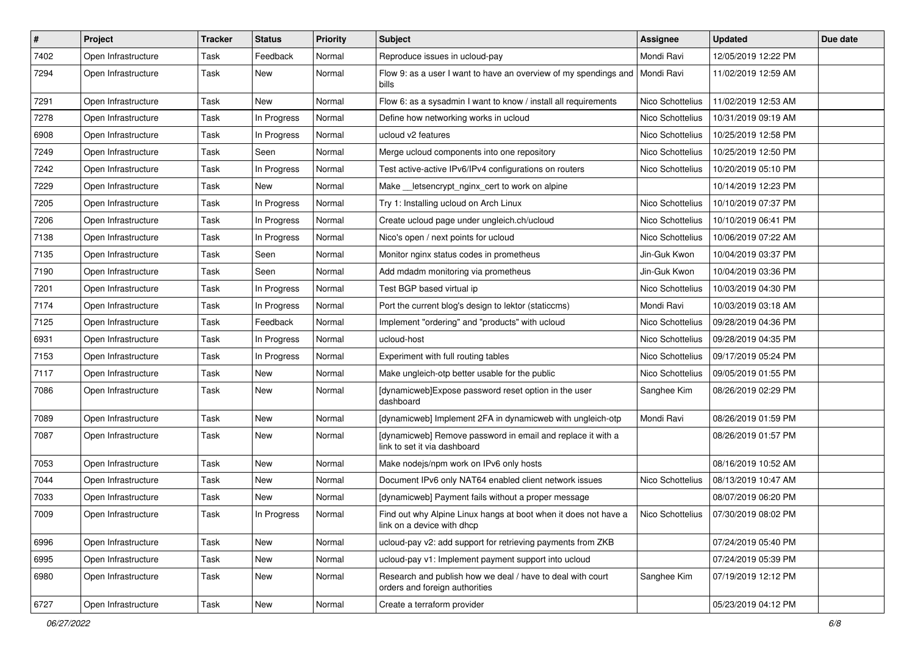| $\vert$ # | <b>Project</b>      | <b>Tracker</b> | <b>Status</b> | <b>Priority</b> | Subject                                                                                       | <b>Assignee</b>  | <b>Updated</b>      | Due date |
|-----------|---------------------|----------------|---------------|-----------------|-----------------------------------------------------------------------------------------------|------------------|---------------------|----------|
| 7402      | Open Infrastructure | Task           | Feedback      | Normal          | Reproduce issues in ucloud-pay                                                                | Mondi Ravi       | 12/05/2019 12:22 PM |          |
| 7294      | Open Infrastructure | Task           | New           | Normal          | Flow 9: as a user I want to have an overview of my spendings and<br>bills                     | Mondi Ravi       | 11/02/2019 12:59 AM |          |
| 7291      | Open Infrastructure | Task           | New           | Normal          | Flow 6: as a sysadmin I want to know / install all requirements                               | Nico Schottelius | 11/02/2019 12:53 AM |          |
| 7278      | Open Infrastructure | Task           | In Progress   | Normal          | Define how networking works in ucloud                                                         | Nico Schottelius | 10/31/2019 09:19 AM |          |
| 6908      | Open Infrastructure | Task           | In Progress   | Normal          | ucloud v2 features                                                                            | Nico Schottelius | 10/25/2019 12:58 PM |          |
| 7249      | Open Infrastructure | Task           | Seen          | Normal          | Merge ucloud components into one repository                                                   | Nico Schottelius | 10/25/2019 12:50 PM |          |
| 7242      | Open Infrastructure | Task           | In Progress   | Normal          | Test active-active IPv6/IPv4 configurations on routers                                        | Nico Schottelius | 10/20/2019 05:10 PM |          |
| 7229      | Open Infrastructure | Task           | New           | Normal          | Make __ letsencrypt_nginx_cert to work on alpine                                              |                  | 10/14/2019 12:23 PM |          |
| 7205      | Open Infrastructure | Task           | In Progress   | Normal          | Try 1: Installing ucloud on Arch Linux                                                        | Nico Schottelius | 10/10/2019 07:37 PM |          |
| 7206      | Open Infrastructure | Task           | In Progress   | Normal          | Create ucloud page under ungleich.ch/ucloud                                                   | Nico Schottelius | 10/10/2019 06:41 PM |          |
| 7138      | Open Infrastructure | <b>Task</b>    | In Progress   | Normal          | Nico's open / next points for ucloud                                                          | Nico Schottelius | 10/06/2019 07:22 AM |          |
| 7135      | Open Infrastructure | Task           | Seen          | Normal          | Monitor nginx status codes in prometheus                                                      | Jin-Guk Kwon     | 10/04/2019 03:37 PM |          |
| 7190      | Open Infrastructure | Task           | Seen          | Normal          | Add mdadm monitoring via prometheus                                                           | Jin-Guk Kwon     | 10/04/2019 03:36 PM |          |
| 7201      | Open Infrastructure | Task           | In Progress   | Normal          | Test BGP based virtual ip                                                                     | Nico Schottelius | 10/03/2019 04:30 PM |          |
| 7174      | Open Infrastructure | Task           | In Progress   | Normal          | Port the current blog's design to lektor (staticcms)                                          | Mondi Ravi       | 10/03/2019 03:18 AM |          |
| 7125      | Open Infrastructure | Task           | Feedback      | Normal          | Implement "ordering" and "products" with ucloud                                               | Nico Schottelius | 09/28/2019 04:36 PM |          |
| 6931      | Open Infrastructure | Task           | In Progress   | Normal          | ucloud-host                                                                                   | Nico Schottelius | 09/28/2019 04:35 PM |          |
| 7153      | Open Infrastructure | Task           | In Progress   | Normal          | Experiment with full routing tables                                                           | Nico Schottelius | 09/17/2019 05:24 PM |          |
| 7117      | Open Infrastructure | Task           | New           | Normal          | Make ungleich-otp better usable for the public                                                | Nico Schottelius | 09/05/2019 01:55 PM |          |
| 7086      | Open Infrastructure | Task           | New           | Normal          | [dynamicweb]Expose password reset option in the user<br>dashboard                             | Sanghee Kim      | 08/26/2019 02:29 PM |          |
| 7089      | Open Infrastructure | Task           | New           | Normal          | [dynamicweb] Implement 2FA in dynamicweb with ungleich-otp                                    | Mondi Ravi       | 08/26/2019 01:59 PM |          |
| 7087      | Open Infrastructure | Task           | New           | Normal          | [dynamicweb] Remove password in email and replace it with a<br>link to set it via dashboard   |                  | 08/26/2019 01:57 PM |          |
| 7053      | Open Infrastructure | <b>Task</b>    | New           | Normal          | Make nodejs/npm work on IPv6 only hosts                                                       |                  | 08/16/2019 10:52 AM |          |
| 7044      | Open Infrastructure | Task           | New           | Normal          | Document IPv6 only NAT64 enabled client network issues                                        | Nico Schottelius | 08/13/2019 10:47 AM |          |
| 7033      | Open Infrastructure | Task           | New           | Normal          | [dynamicweb] Payment fails without a proper message                                           |                  | 08/07/2019 06:20 PM |          |
| 7009      | Open Infrastructure | Task           | In Progress   | Normal          | Find out why Alpine Linux hangs at boot when it does not have a<br>link on a device with dhcp | Nico Schottelius | 07/30/2019 08:02 PM |          |
| 6996      | Open Infrastructure | Task           | New           | Normal          | ucloud-pay v2: add support for retrieving payments from ZKB                                   |                  | 07/24/2019 05:40 PM |          |
| 6995      | Open Infrastructure | Task           | New           | Normal          | ucloud-pay v1: Implement payment support into ucloud                                          |                  | 07/24/2019 05:39 PM |          |
| 6980      | Open Infrastructure | Task           | New           | Normal          | Research and publish how we deal / have to deal with court<br>orders and foreign authorities  | Sanghee Kim      | 07/19/2019 12:12 PM |          |
| 6727      | Open Infrastructure | Task           | New           | Normal          | Create a terraform provider                                                                   |                  | 05/23/2019 04:12 PM |          |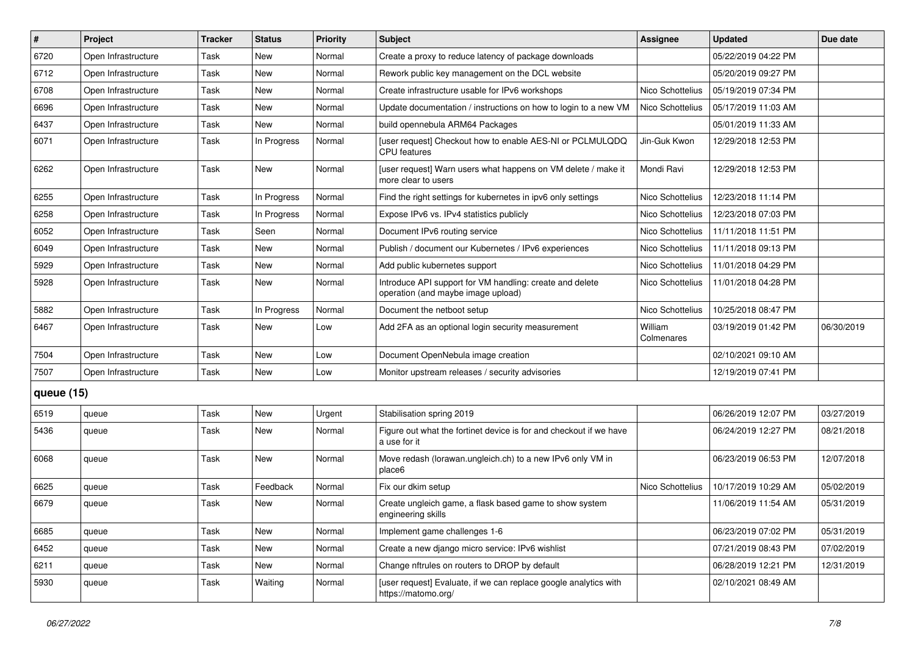| #            | Project             | <b>Tracker</b> | <b>Status</b> | <b>Priority</b> | Subject                                                                                        | Assignee              | <b>Updated</b>      | Due date   |
|--------------|---------------------|----------------|---------------|-----------------|------------------------------------------------------------------------------------------------|-----------------------|---------------------|------------|
| 6720         | Open Infrastructure | Task           | New           | Normal          | Create a proxy to reduce latency of package downloads                                          |                       | 05/22/2019 04:22 PM |            |
| 6712         | Open Infrastructure | <b>Task</b>    | New           | Normal          | Rework public key management on the DCL website                                                |                       | 05/20/2019 09:27 PM |            |
| 6708         | Open Infrastructure | Task           | New           | Normal          | Create infrastructure usable for IPv6 workshops                                                | Nico Schottelius      | 05/19/2019 07:34 PM |            |
| 6696         | Open Infrastructure | Task           | New           | Normal          | Update documentation / instructions on how to login to a new VM                                | Nico Schottelius      | 05/17/2019 11:03 AM |            |
| 6437         | Open Infrastructure | <b>Task</b>    | New           | Normal          | build opennebula ARM64 Packages                                                                |                       | 05/01/2019 11:33 AM |            |
| 6071         | Open Infrastructure | Task           | In Progress   | Normal          | [user request] Checkout how to enable AES-NI or PCLMULQDQ<br><b>CPU</b> features               | Jin-Guk Kwon          | 12/29/2018 12:53 PM |            |
| 6262         | Open Infrastructure | Task           | New           | Normal          | [user request] Warn users what happens on VM delete / make it<br>more clear to users           | Mondi Ravi            | 12/29/2018 12:53 PM |            |
| 6255         | Open Infrastructure | <b>Task</b>    | In Progress   | Normal          | Find the right settings for kubernetes in ipv6 only settings                                   | Nico Schottelius      | 12/23/2018 11:14 PM |            |
| 6258         | Open Infrastructure | <b>Task</b>    | In Progress   | Normal          | Expose IPv6 vs. IPv4 statistics publicly                                                       | Nico Schottelius      | 12/23/2018 07:03 PM |            |
| 6052         | Open Infrastructure | <b>Task</b>    | Seen          | Normal          | Document IPv6 routing service                                                                  | Nico Schottelius      | 11/11/2018 11:51 PM |            |
| 6049         | Open Infrastructure | <b>Task</b>    | <b>New</b>    | Normal          | Publish / document our Kubernetes / IPv6 experiences                                           | Nico Schottelius      | 11/11/2018 09:13 PM |            |
| 5929         | Open Infrastructure | Task           | New           | Normal          | Add public kubernetes support                                                                  | Nico Schottelius      | 11/01/2018 04:29 PM |            |
| 5928         | Open Infrastructure | Task           | New           | Normal          | Introduce API support for VM handling: create and delete<br>operation (and maybe image upload) | Nico Schottelius      | 11/01/2018 04:28 PM |            |
| 5882         | Open Infrastructure | <b>Task</b>    | In Progress   | Normal          | Document the netboot setup                                                                     | Nico Schottelius      | 10/25/2018 08:47 PM |            |
| 6467         | Open Infrastructure | Task           | New           | Low             | Add 2FA as an optional login security measurement                                              | William<br>Colmenares | 03/19/2019 01:42 PM | 06/30/2019 |
| 7504         | Open Infrastructure | <b>Task</b>    | <b>New</b>    | Low             | Document OpenNebula image creation                                                             |                       | 02/10/2021 09:10 AM |            |
| 7507         | Open Infrastructure | <b>Task</b>    | New           | Low             | Monitor upstream releases / security advisories                                                |                       | 12/19/2019 07:41 PM |            |
| queue $(15)$ |                     |                |               |                 |                                                                                                |                       |                     |            |
| 6519         | queue               | Task           | <b>New</b>    | Urgent          | Stabilisation spring 2019                                                                      |                       | 06/26/2019 12:07 PM | 03/27/2019 |
| 5436         | queue               | Task           | New           | Normal          | Figure out what the fortinet device is for and checkout if we have<br>a use for it             |                       | 06/24/2019 12:27 PM | 08/21/2018 |
| 6068         | queue               | Task           | New           | Normal          | Move redash (lorawan.ungleich.ch) to a new IPv6 only VM in<br>place6                           |                       | 06/23/2019 06:53 PM | 12/07/2018 |
| 6625         | queue               | <b>Task</b>    | Feedback      | Normal          | Fix our dkim setup                                                                             | Nico Schottelius      | 10/17/2019 10:29 AM | 05/02/2019 |
| 6679         | queue               | Task           | New           | Normal          | Create ungleich game, a flask based game to show system<br>engineering skills                  |                       | 11/06/2019 11:54 AM | 05/31/2019 |
| 6685         | queue               | Task           | New           | Normal          | Implement game challenges 1-6                                                                  |                       | 06/23/2019 07:02 PM | 05/31/2019 |
| 6452         | queue               | Task           | New           | Normal          | Create a new django micro service: IPv6 wishlist                                               |                       | 07/21/2019 08:43 PM | 07/02/2019 |
| 6211         | queue               | Task           | New           | Normal          | Change nftrules on routers to DROP by default                                                  |                       | 06/28/2019 12:21 PM | 12/31/2019 |
| 5930         | queue               | Task           | Waiting       | Normal          | [user request] Evaluate, if we can replace google analytics with<br>https://matomo.org/        |                       | 02/10/2021 08:49 AM |            |